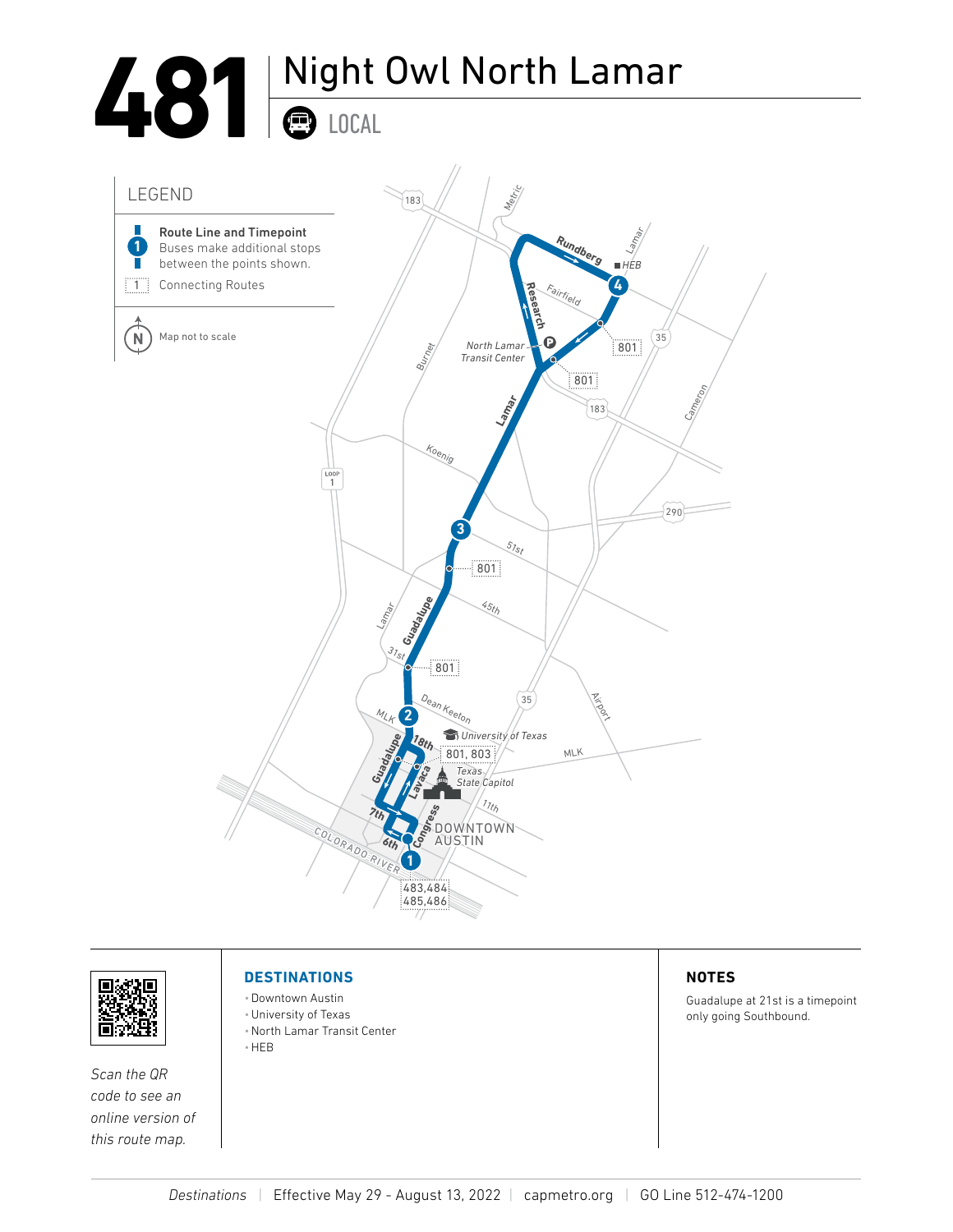## **481** Night Owl North Lamar LOCAL





*Scan the QR code to see an online version of this route map.*

## **DESTINATIONS**

- •Downtown Austin
- •University of Texas
- •North Lamar Transit Center
- •HEB

## **NOTES**

Guadalupe at 21st is a timepoint only going Southbound.